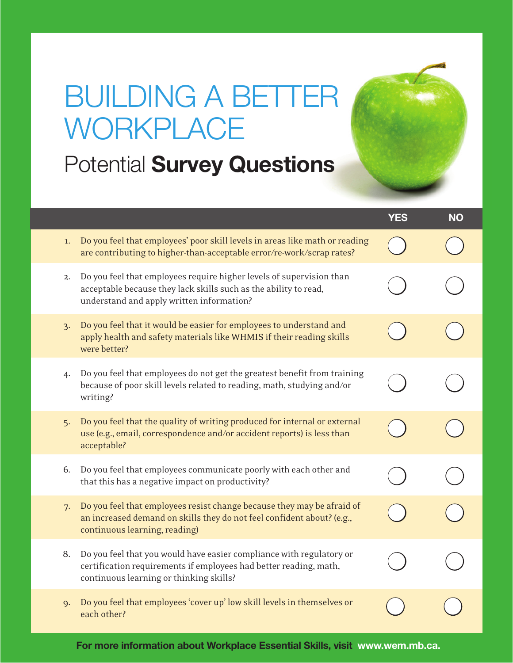## BUILDING A BETTER **WORKPLACE**

**Potential Survey Questions** 

|                 |                                                                                                                                                                                       | <b>YES</b> | <b>NO</b> |
|-----------------|---------------------------------------------------------------------------------------------------------------------------------------------------------------------------------------|------------|-----------|
| 1.              | Do you feel that employees' poor skill levels in areas like math or reading<br>are contributing to higher-than-acceptable error/re-work/scrap rates?                                  |            |           |
| 2.              | Do you feel that employees require higher levels of supervision than<br>acceptable because they lack skills such as the ability to read,<br>understand and apply written information? |            |           |
| $\mathcal{E}$ . | Do you feel that it would be easier for employees to understand and<br>apply health and safety materials like WHMIS if their reading skills<br>were better?                           |            |           |
| 4.              | Do you feel that employees do not get the greatest benefit from training<br>because of poor skill levels related to reading, math, studying and/or<br>writing?                        |            |           |
| 5.              | Do you feel that the quality of writing produced for internal or external<br>use (e.g., email, correspondence and/or accident reports) is less than<br>acceptable?                    |            |           |
| 6.              | Do you feel that employees communicate poorly with each other and<br>that this has a negative impact on productivity?                                                                 |            |           |
| 7.              | Do you feel that employees resist change because they may be afraid of<br>an increased demand on skills they do not feel confident about? (e.g.,<br>continuous learning, reading)     |            |           |
| 8.              | Do you feel that you would have easier compliance with regulatory or<br>certification requirements if employees had better reading, math,<br>continuous learning or thinking skills?  |            |           |
| 9.              | Do you feel that employees 'cover up' low skill levels in themselves or<br>each other?                                                                                                |            |           |

For more information about Workplace Essential Skills, visit www.wem.mb.ca.